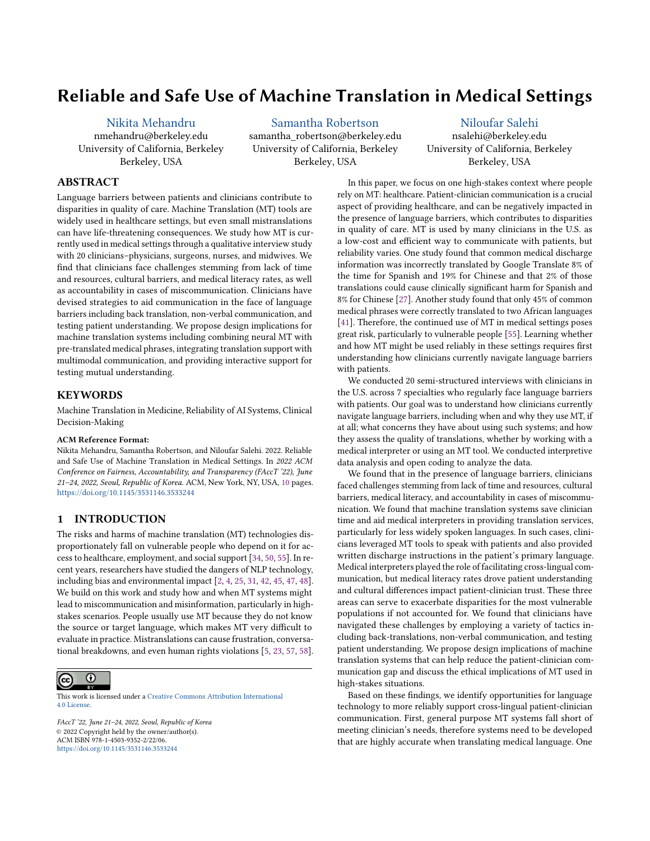# Reliable and Safe Use of Machine Translation in Medical Settings

[Nikita Mehandru](https://orcid.org/0000-0002-7374-7127)

nmehandru@berkeley.edu University of California, Berkeley Berkeley, USA

[Samantha Robertson](https://orcid.org/0000-0002-0386-4555) samantha\_robertson@berkeley.edu University of California, Berkeley Berkeley, USA

[Niloufar Salehi](https://orcid.org/0000-0003-1237-5814) nsalehi@berkeley.edu University of California, Berkeley Berkeley, USA

## ABSTRACT

Language barriers between patients and clinicians contribute to disparities in quality of care. Machine Translation (MT) tools are widely used in healthcare settings, but even small mistranslations can have life-threatening consequences. We study how MT is currently used in medical settings through a qualitative interview study with 20 clinicians–physicians, surgeons, nurses, and midwives. We find that clinicians face challenges stemming from lack of time and resources, cultural barriers, and medical literacy rates, as well as accountability in cases of miscommunication. Clinicians have devised strategies to aid communication in the face of language barriers including back translation, non-verbal communication, and testing patient understanding. We propose design implications for machine translation systems including combining neural MT with pre-translated medical phrases, integrating translation support with multimodal communication, and providing interactive support for testing mutual understanding.

### **KEYWORDS**

Machine Translation in Medicine, Reliability of AI Systems, Clinical Decision-Making

#### ACM Reference Format:

Nikita Mehandru, Samantha Robertson, and Niloufar Salehi. 2022. Reliable and Safe Use of Machine Translation in Medical Settings. In 2022 ACM Conference on Fairness, Accountability, and Transparency (FAccT '22), June 21–24, 2022, Seoul, Republic of Korea. ACM, New York, NY, USA, [10](#page-9-0) pages. <https://doi.org/10.1145/3531146.3533244>

### 1 INTRODUCTION

The risks and harms of machine translation (MT) technologies disproportionately fall on vulnerable people who depend on it for access to healthcare, employment, and social support [\[34,](#page-9-1) [50,](#page-9-2) [55\]](#page-9-3). In recent years, researchers have studied the dangers of NLP technology, including bias and environmental impact [\[2,](#page-8-0) [4,](#page-8-1) [25,](#page-8-2) [31,](#page-9-4) [42,](#page-9-5) [45,](#page-9-6) [47,](#page-9-7) [48\]](#page-9-8). We build on this work and study how and when MT systems might lead to miscommunication and misinformation, particularly in highstakes scenarios. People usually use MT because they do not know the source or target language, which makes MT very difficult to evaluate in practice. Mistranslations can cause frustration, conversational breakdowns, and even human rights violations [\[5,](#page-8-3) [23,](#page-8-4) [57,](#page-9-9) [58\]](#page-9-10).



This work is licensed under a [Creative Commons Attribution International](https://creativecommons.org/licenses/by/4.0/) [4.0 License.](https://creativecommons.org/licenses/by/4.0/)

FAccT '22, June 21–24, 2022, Seoul, Republic of Korea © 2022 Copyright held by the owner/author(s). ACM ISBN 978-1-4503-9352-2/22/06. <https://doi.org/10.1145/3531146.3533244>

In this paper, we focus on one high-stakes context where people rely on MT: healthcare. Patient-clinician communication is a crucial aspect of providing healthcare, and can be negatively impacted in the presence of language barriers, which contributes to disparities in quality of care. MT is used by many clinicians in the U.S. as a low-cost and efficient way to communicate with patients, but reliability varies. One study found that common medical discharge information was incorrectly translated by Google Translate 8% of the time for Spanish and 19% for Chinese and that 2% of those translations could cause clinically significant harm for Spanish and 8% for Chinese [\[27\]](#page-8-5). Another study found that only 45% of common medical phrases were correctly translated to two African languages [\[41\]](#page-9-11). Therefore, the continued use of MT in medical settings poses great risk, particularly to vulnerable people [\[55\]](#page-9-3). Learning whether and how MT might be used reliably in these settings requires first understanding how clinicians currently navigate language barriers with patients.

We conducted 20 semi-structured interviews with clinicians in the U.S. across 7 specialties who regularly face language barriers with patients. Our goal was to understand how clinicians currently navigate language barriers, including when and why they use MT, if at all; what concerns they have about using such systems; and how they assess the quality of translations, whether by working with a medical interpreter or using an MT tool. We conducted interpretive data analysis and open coding to analyze the data.

We found that in the presence of language barriers, clinicians faced challenges stemming from lack of time and resources, cultural barriers, medical literacy, and accountability in cases of miscommunication. We found that machine translation systems save clinician time and aid medical interpreters in providing translation services, particularly for less widely spoken languages. In such cases, clinicians leveraged MT tools to speak with patients and also provided written discharge instructions in the patient's primary language. Medical interpreters played the role of facilitating cross-lingual communication, but medical literacy rates drove patient understanding and cultural differences impact patient-clinician trust. These three areas can serve to exacerbate disparities for the most vulnerable populations if not accounted for. We found that clinicians have navigated these challenges by employing a variety of tactics including back-translations, non-verbal communication, and testing patient understanding. We propose design implications of machine translation systems that can help reduce the patient-clinician communication gap and discuss the ethical implications of MT used in high-stakes situations.

Based on these findings, we identify opportunities for language technology to more reliably support cross-lingual patient-clinician communication. First, general purpose MT systems fall short of meeting clinician's needs, therefore systems need to be developed that are highly accurate when translating medical language. One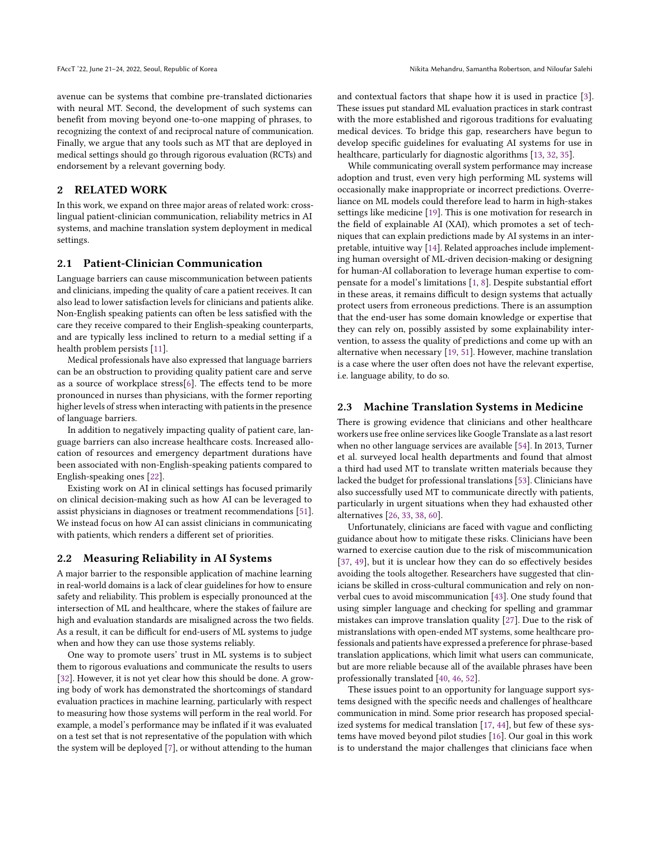FAccT '22, June 21-24, 2022, Seoul, Republic of Korea Nikita Mehandru, Samantha Robertson, and Niloufar Salehi

avenue can be systems that combine pre-translated dictionaries with neural MT. Second, the development of such systems can benefit from moving beyond one-to-one mapping of phrases, to recognizing the context of and reciprocal nature of communication. Finally, we argue that any tools such as MT that are deployed in medical settings should go through rigorous evaluation (RCTs) and endorsement by a relevant governing body.

### 2 RELATED WORK

In this work, we expand on three major areas of related work: crosslingual patient-clinician communication, reliability metrics in AI systems, and machine translation system deployment in medical settings.

### 2.1 Patient-Clinician Communication

Language barriers can cause miscommunication between patients and clinicians, impeding the quality of care a patient receives. It can also lead to lower satisfaction levels for clinicians and patients alike. Non-English speaking patients can often be less satisfied with the care they receive compared to their English-speaking counterparts, and are typically less inclined to return to a medial setting if a health problem persists [\[11\]](#page-8-6).

Medical professionals have also expressed that language barriers can be an obstruction to providing quality patient care and serve as a source of workplace stress[\[6\]](#page-8-7). The effects tend to be more pronounced in nurses than physicians, with the former reporting higher levels of stress when interacting with patients in the presence of language barriers.

In addition to negatively impacting quality of patient care, language barriers can also increase healthcare costs. Increased allocation of resources and emergency department durations have been associated with non-English-speaking patients compared to English-speaking ones [\[22\]](#page-8-8).

Existing work on AI in clinical settings has focused primarily on clinical decision-making such as how AI can be leveraged to assist physicians in diagnoses or treatment recommendations [\[51\]](#page-9-12). We instead focus on how AI can assist clinicians in communicating with patients, which renders a different set of priorities.

### 2.2 Measuring Reliability in AI Systems

A major barrier to the responsible application of machine learning in real-world domains is a lack of clear guidelines for how to ensure safety and reliability. This problem is especially pronounced at the intersection of ML and healthcare, where the stakes of failure are high and evaluation standards are misaligned across the two fields. As a result, it can be difficult for end-users of ML systems to judge when and how they can use those systems reliably.

One way to promote users' trust in ML systems is to subject them to rigorous evaluations and communicate the results to users [\[32\]](#page-9-13). However, it is not yet clear how this should be done. A growing body of work has demonstrated the shortcomings of standard evaluation practices in machine learning, particularly with respect to measuring how those systems will perform in the real world. For example, a model's performance may be inflated if it was evaluated on a test set that is not representative of the population with which the system will be deployed [\[7\]](#page-8-9), or without attending to the human

and contextual factors that shape how it is used in practice [\[3\]](#page-8-10). These issues put standard ML evaluation practices in stark contrast with the more established and rigorous traditions for evaluating medical devices. To bridge this gap, researchers have begun to develop specific guidelines for evaluating AI systems for use in healthcare, particularly for diagnostic algorithms [\[13,](#page-8-11) [32,](#page-9-13) [35\]](#page-9-14).

While communicating overall system performance may increase adoption and trust, even very high performing ML systems will occasionally make inappropriate or incorrect predictions. Overreliance on ML models could therefore lead to harm in high-stakes settings like medicine [\[19\]](#page-8-12). This is one motivation for research in the field of explainable AI (XAI), which promotes a set of techniques that can explain predictions made by AI systems in an interpretable, intuitive way [\[14\]](#page-8-13). Related approaches include implementing human oversight of ML-driven decision-making or designing for human-AI collaboration to leverage human expertise to compensate for a model's limitations [\[1,](#page-8-14) [8\]](#page-8-15). Despite substantial effort in these areas, it remains difficult to design systems that actually protect users from erroneous predictions. There is an assumption that the end-user has some domain knowledge or expertise that they can rely on, possibly assisted by some explainability intervention, to assess the quality of predictions and come up with an alternative when necessary [\[19,](#page-8-12) [51\]](#page-9-12). However, machine translation is a case where the user often does not have the relevant expertise, i.e. language ability, to do so.

#### 2.3 Machine Translation Systems in Medicine

There is growing evidence that clinicians and other healthcare workers use free online services like Google Translate as a last resort when no other language services are available [\[54\]](#page-9-15). In 2013, Turner et al. surveyed local health departments and found that almost a third had used MT to translate written materials because they lacked the budget for professional translations [\[53\]](#page-9-16). Clinicians have also successfully used MT to communicate directly with patients, particularly in urgent situations when they had exhausted other alternatives [\[26,](#page-8-16) [33,](#page-9-17) [38,](#page-9-18) [60\]](#page-9-19).

Unfortunately, clinicians are faced with vague and conflicting guidance about how to mitigate these risks. Clinicians have been warned to exercise caution due to the risk of miscommunication [\[37,](#page-9-20) [49\]](#page-9-21), but it is unclear how they can do so effectively besides avoiding the tools altogether. Researchers have suggested that clinicians be skilled in cross-cultural communication and rely on nonverbal cues to avoid miscommunication [\[43\]](#page-9-22). One study found that using simpler language and checking for spelling and grammar mistakes can improve translation quality [\[27\]](#page-8-5). Due to the risk of mistranslations with open-ended MT systems, some healthcare professionals and patients have expressed a preference for phrase-based translation applications, which limit what users can communicate, but are more reliable because all of the available phrases have been professionally translated [\[40,](#page-9-23) [46,](#page-9-24) [52\]](#page-9-25).

These issues point to an opportunity for language support systems designed with the specific needs and challenges of healthcare communication in mind. Some prior research has proposed specialized systems for medical translation [\[17,](#page-8-17) [44\]](#page-9-26), but few of these systems have moved beyond pilot studies [\[16\]](#page-8-18). Our goal in this work is to understand the major challenges that clinicians face when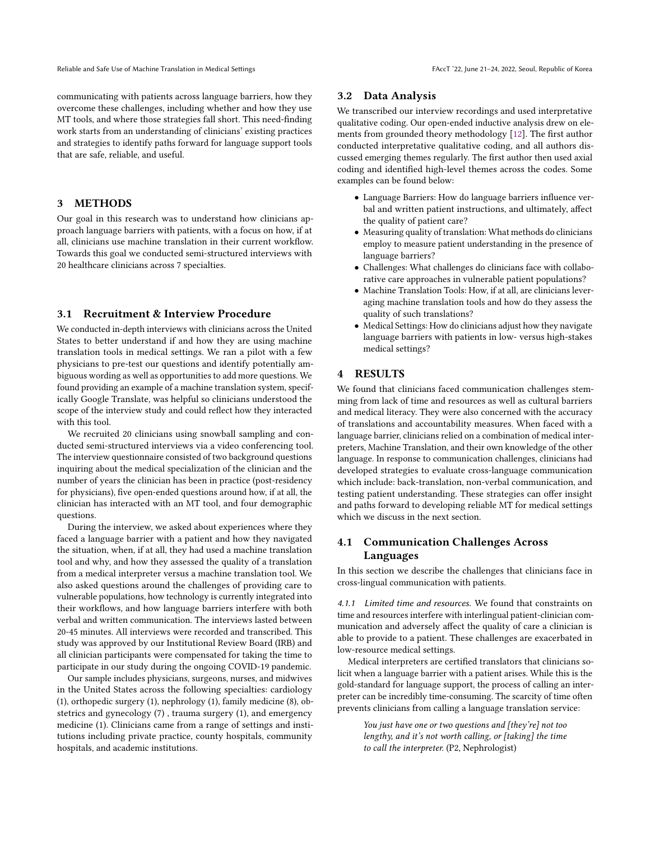communicating with patients across language barriers, how they overcome these challenges, including whether and how they use MT tools, and where those strategies fall short. This need-finding work starts from an understanding of clinicians' existing practices and strategies to identify paths forward for language support tools that are safe, reliable, and useful.

### 3 METHODS

Our goal in this research was to understand how clinicians approach language barriers with patients, with a focus on how, if at all, clinicians use machine translation in their current workflow. Towards this goal we conducted semi-structured interviews with 20 healthcare clinicians across 7 specialties.

### 3.1 Recruitment & Interview Procedure

We conducted in-depth interviews with clinicians across the United States to better understand if and how they are using machine translation tools in medical settings. We ran a pilot with a few physicians to pre-test our questions and identify potentially ambiguous wording as well as opportunities to add more questions. We found providing an example of a machine translation system, specifically Google Translate, was helpful so clinicians understood the scope of the interview study and could reflect how they interacted with this tool.

We recruited 20 clinicians using snowball sampling and conducted semi-structured interviews via a video conferencing tool. The interview questionnaire consisted of two background questions inquiring about the medical specialization of the clinician and the number of years the clinician has been in practice (post-residency for physicians), five open-ended questions around how, if at all, the clinician has interacted with an MT tool, and four demographic questions.

During the interview, we asked about experiences where they faced a language barrier with a patient and how they navigated the situation, when, if at all, they had used a machine translation tool and why, and how they assessed the quality of a translation from a medical interpreter versus a machine translation tool. We also asked questions around the challenges of providing care to vulnerable populations, how technology is currently integrated into their workflows, and how language barriers interfere with both verbal and written communication. The interviews lasted between 20-45 minutes. All interviews were recorded and transcribed. This study was approved by our Institutional Review Board (IRB) and all clinician participants were compensated for taking the time to participate in our study during the ongoing COVID-19 pandemic.

Our sample includes physicians, surgeons, nurses, and midwives in the United States across the following specialties: cardiology (1), orthopedic surgery (1), nephrology (1), family medicine (8), obstetrics and gynecology (7) , trauma surgery (1), and emergency medicine (1). Clinicians came from a range of settings and institutions including private practice, county hospitals, community hospitals, and academic institutions.

### 3.2 Data Analysis

We transcribed our interview recordings and used interpretative qualitative coding. Our open-ended inductive analysis drew on elements from grounded theory methodology [\[12\]](#page-8-19). The first author conducted interpretative qualitative coding, and all authors discussed emerging themes regularly. The first author then used axial coding and identified high-level themes across the codes. Some examples can be found below:

- Language Barriers: How do language barriers influence verbal and written patient instructions, and ultimately, affect the quality of patient care?
- Measuring quality of translation: What methods do clinicians employ to measure patient understanding in the presence of language barriers?
- Challenges: What challenges do clinicians face with collaborative care approaches in vulnerable patient populations?
- Machine Translation Tools: How, if at all, are clinicians leveraging machine translation tools and how do they assess the quality of such translations?
- Medical Settings: How do clinicians adjust how they navigate language barriers with patients in low- versus high-stakes medical settings?

# 4 RESULTS

We found that clinicians faced communication challenges stemming from lack of time and resources as well as cultural barriers and medical literacy. They were also concerned with the accuracy of translations and accountability measures. When faced with a language barrier, clinicians relied on a combination of medical interpreters, Machine Translation, and their own knowledge of the other language. In response to communication challenges, clinicians had developed strategies to evaluate cross-language communication which include: back-translation, non-verbal communication, and testing patient understanding. These strategies can offer insight and paths forward to developing reliable MT for medical settings which we discuss in the next section.

# 4.1 Communication Challenges Across Languages

In this section we describe the challenges that clinicians face in cross-lingual communication with patients.

4.1.1 Limited time and resources. We found that constraints on time and resources interfere with interlingual patient-clinician communication and adversely affect the quality of care a clinician is able to provide to a patient. These challenges are exacerbated in low-resource medical settings.

Medical interpreters are certified translators that clinicians solicit when a language barrier with a patient arises. While this is the gold-standard for language support, the process of calling an interpreter can be incredibly time-consuming. The scarcity of time often prevents clinicians from calling a language translation service:

> You just have one or two questions and [they're] not too lengthy, and it's not worth calling, or [taking] the time to call the interpreter. (P2, Nephrologist)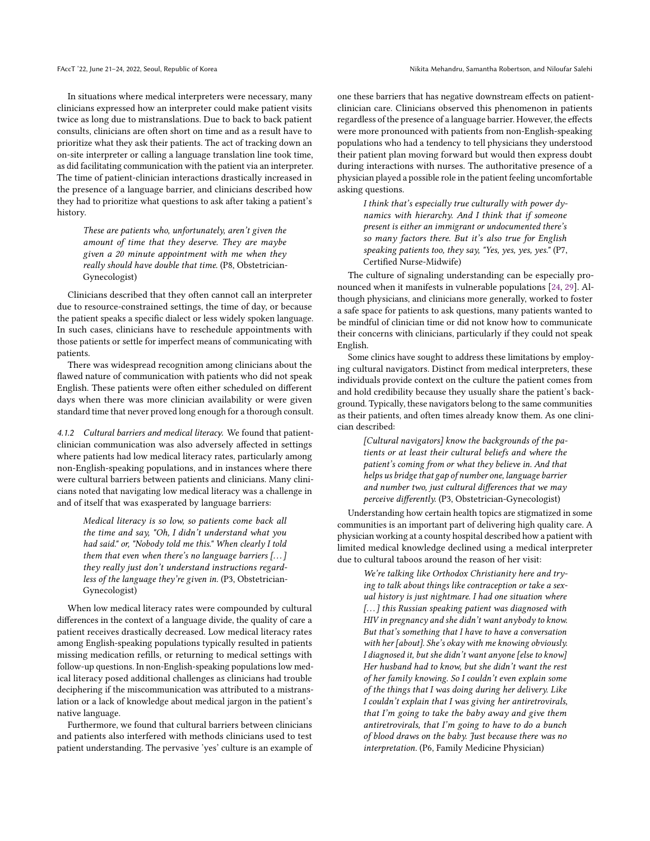In situations where medical interpreters were necessary, many clinicians expressed how an interpreter could make patient visits twice as long due to mistranslations. Due to back to back patient consults, clinicians are often short on time and as a result have to prioritize what they ask their patients. The act of tracking down an on-site interpreter or calling a language translation line took time, as did facilitating communication with the patient via an interpreter. The time of patient-clinician interactions drastically increased in the presence of a language barrier, and clinicians described how they had to prioritize what questions to ask after taking a patient's history.

These are patients who, unfortunately, aren't given the amount of time that they deserve. They are maybe given a 20 minute appointment with me when they really should have double that time. (P8, Obstetrician-Gynecologist)

Clinicians described that they often cannot call an interpreter due to resource-constrained settings, the time of day, or because the patient speaks a specific dialect or less widely spoken language. In such cases, clinicians have to reschedule appointments with those patients or settle for imperfect means of communicating with patients.

There was widespread recognition among clinicians about the flawed nature of communication with patients who did not speak English. These patients were often either scheduled on different days when there was more clinician availability or were given standard time that never proved long enough for a thorough consult.

4.1.2 Cultural barriers and medical literacy. We found that patientclinician communication was also adversely affected in settings where patients had low medical literacy rates, particularly among non-English-speaking populations, and in instances where there were cultural barriers between patients and clinicians. Many clinicians noted that navigating low medical literacy was a challenge in and of itself that was exasperated by language barriers:

Medical literacy is so low, so patients come back all the time and say, "Oh, I didn't understand what you had said." or, "Nobody told me this." When clearly I told them that even when there's no language barriers [. . . ] they really just don't understand instructions regardless of the language they're given in. (P3, Obstetrician-Gynecologist)

When low medical literacy rates were compounded by cultural differences in the context of a language divide, the quality of care a patient receives drastically decreased. Low medical literacy rates among English-speaking populations typically resulted in patients missing medication refills, or returning to medical settings with follow-up questions. In non-English-speaking populations low medical literacy posed additional challenges as clinicians had trouble deciphering if the miscommunication was attributed to a mistranslation or a lack of knowledge about medical jargon in the patient's native language.

Furthermore, we found that cultural barriers between clinicians and patients also interfered with methods clinicians used to test patient understanding. The pervasive 'yes' culture is an example of one these barriers that has negative downstream effects on patientclinician care. Clinicians observed this phenomenon in patients regardless of the presence of a language barrier. However, the effects were more pronounced with patients from non-English-speaking populations who had a tendency to tell physicians they understood their patient plan moving forward but would then express doubt during interactions with nurses. The authoritative presence of a physician played a possible role in the patient feeling uncomfortable asking questions.

> I think that's especially true culturally with power dynamics with hierarchy. And I think that if someone present is either an immigrant or undocumented there's so many factors there. But it's also true for English speaking patients too, they say, "Yes, yes, yes, yes." (P7, Certified Nurse-Midwife)

The culture of signaling understanding can be especially pronounced when it manifests in vulnerable populations [\[24,](#page-8-20) [29\]](#page-9-27). Although physicians, and clinicians more generally, worked to foster a safe space for patients to ask questions, many patients wanted to be mindful of clinician time or did not know how to communicate their concerns with clinicians, particularly if they could not speak English.

Some clinics have sought to address these limitations by employing cultural navigators. Distinct from medical interpreters, these individuals provide context on the culture the patient comes from and hold credibility because they usually share the patient's background. Typically, these navigators belong to the same communities as their patients, and often times already know them. As one clinician described:

> [Cultural navigators] know the backgrounds of the patients or at least their cultural beliefs and where the patient's coming from or what they believe in. And that helps us bridge that gap of number one, language barrier and number two, just cultural differences that we may perceive differently. (P3, Obstetrician-Gynecologist)

Understanding how certain health topics are stigmatized in some communities is an important part of delivering high quality care. A physician working at a county hospital described how a patient with limited medical knowledge declined using a medical interpreter due to cultural taboos around the reason of her visit:

We're talking like Orthodox Christianity here and trying to talk about things like contraception or take a sexual history is just nightmare. I had one situation where [...] this Russian speaking patient was diagnosed with HIV in pregnancy and she didn't want anybody to know. But that's something that I have to have a conversation with her [about]. She's okay with me knowing obviously. I diagnosed it, but she didn't want anyone [else to know] Her husband had to know, but she didn't want the rest of her family knowing. So I couldn't even explain some of the things that I was doing during her delivery. Like I couldn't explain that I was giving her antiretrovirals, that I'm going to take the baby away and give them antiretrovirals, that I'm going to have to do a bunch of blood draws on the baby. Just because there was no interpretation. (P6, Family Medicine Physician)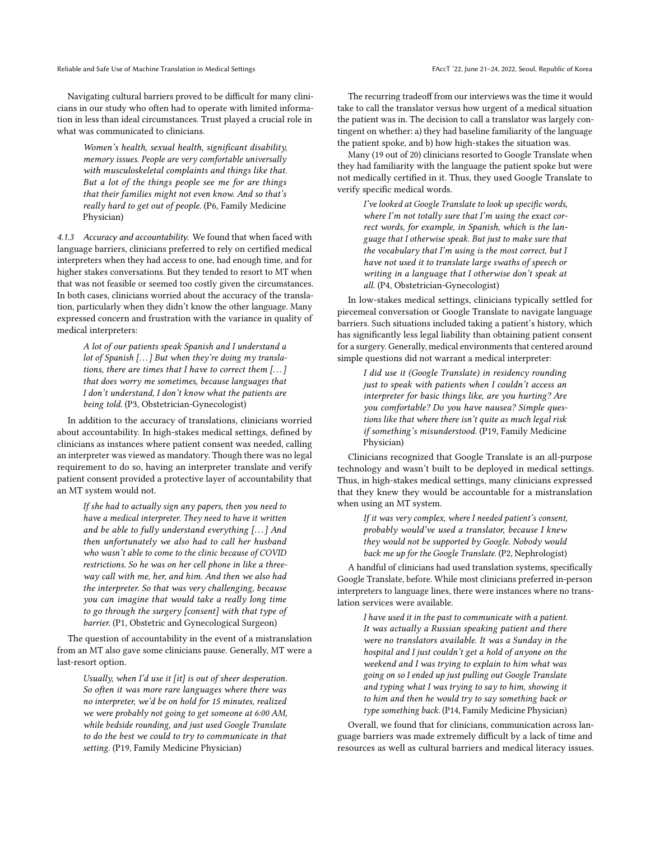Reliable and Safe Use of Machine Translation in Medical Settings FAccT '22, June 21-24, 2022, Seoul, Republic of Korea

Navigating cultural barriers proved to be difficult for many clinicians in our study who often had to operate with limited information in less than ideal circumstances. Trust played a crucial role in what was communicated to clinicians.

Women's health, sexual health, significant disability, memory issues. People are very comfortable universally with musculoskeletal complaints and things like that. But a lot of the things people see me for are things that their families might not even know. And so that's really hard to get out of people. (P6, Family Medicine Physician)

4.1.3 Accuracy and accountability. We found that when faced with language barriers, clinicians preferred to rely on certified medical interpreters when they had access to one, had enough time, and for higher stakes conversations. But they tended to resort to MT when that was not feasible or seemed too costly given the circumstances. In both cases, clinicians worried about the accuracy of the translation, particularly when they didn't know the other language. Many expressed concern and frustration with the variance in quality of medical interpreters:

A lot of our patients speak Spanish and I understand a lot of Spanish [...] But when they're doing my translations, there are times that I have to correct them  $[...]$ that does worry me sometimes, because languages that I don't understand, I don't know what the patients are being told. (P3, Obstetrician-Gynecologist)

In addition to the accuracy of translations, clinicians worried about accountability. In high-stakes medical settings, defined by clinicians as instances where patient consent was needed, calling an interpreter was viewed as mandatory. Though there was no legal requirement to do so, having an interpreter translate and verify patient consent provided a protective layer of accountability that an MT system would not.

If she had to actually sign any papers, then you need to have a medical interpreter. They need to have it written and be able to fully understand everything [. . . ] And then unfortunately we also had to call her husband who wasn't able to come to the clinic because of COVID restrictions. So he was on her cell phone in like a threeway call with me, her, and him. And then we also had the interpreter. So that was very challenging, because you can imagine that would take a really long time to go through the surgery [consent] with that type of barrier. (P1, Obstetric and Gynecological Surgeon)

The question of accountability in the event of a mistranslation from an MT also gave some clinicians pause. Generally, MT were a last-resort option.

Usually, when I'd use it [it] is out of sheer desperation. So often it was more rare languages where there was no interpreter, we'd be on hold for 15 minutes, realized we were probably not going to get someone at 6:00 AM, while bedside rounding, and just used Google Translate to do the best we could to try to communicate in that setting. (P19, Family Medicine Physician)

The recurring tradeoff from our interviews was the time it would take to call the translator versus how urgent of a medical situation the patient was in. The decision to call a translator was largely contingent on whether: a) they had baseline familiarity of the language the patient spoke, and b) how high-stakes the situation was.

Many (19 out of 20) clinicians resorted to Google Translate when they had familiarity with the language the patient spoke but were not medically certified in it. Thus, they used Google Translate to verify specific medical words.

> I've looked at Google Translate to look up specific words, where I'm not totally sure that I'm using the exact correct words, for example, in Spanish, which is the language that I otherwise speak. But just to make sure that the vocabulary that  $I<sup>'</sup>m$  using is the most correct, but  $I$ have not used it to translate large swaths of speech or writing in a language that I otherwise don't speak at all. (P4, Obstetrician-Gynecologist)

In low-stakes medical settings, clinicians typically settled for piecemeal conversation or Google Translate to navigate language barriers. Such situations included taking a patient's history, which has significantly less legal liability than obtaining patient consent for a surgery. Generally, medical environments that centered around simple questions did not warrant a medical interpreter:

I did use it (Google Translate) in residency rounding just to speak with patients when I couldn't access an interpreter for basic things like, are you hurting? Are you comfortable? Do you have nausea? Simple questions like that where there isn't quite as much legal risk if something's misunderstood. (P19, Family Medicine Physician)

Clinicians recognized that Google Translate is an all-purpose technology and wasn't built to be deployed in medical settings. Thus, in high-stakes medical settings, many clinicians expressed that they knew they would be accountable for a mistranslation when using an MT system.

> If it was very complex, where I needed patient's consent, probably would've used a translator, because I knew they would not be supported by Google. Nobody would back me up for the Google Translate. (P2, Nephrologist)

A handful of clinicians had used translation systems, specifically Google Translate, before. While most clinicians preferred in-person interpreters to language lines, there were instances where no translation services were available.

> I have used it in the past to communicate with a patient. It was actually a Russian speaking patient and there were no translators available. It was a Sunday in the hospital and I just couldn't get a hold of anyone on the weekend and I was trying to explain to him what was going on so I ended up just pulling out Google Translate and typing what I was trying to say to him, showing it to him and then he would try to say something back or type something back. (P14, Family Medicine Physician)

Overall, we found that for clinicians, communication across language barriers was made extremely difficult by a lack of time and resources as well as cultural barriers and medical literacy issues.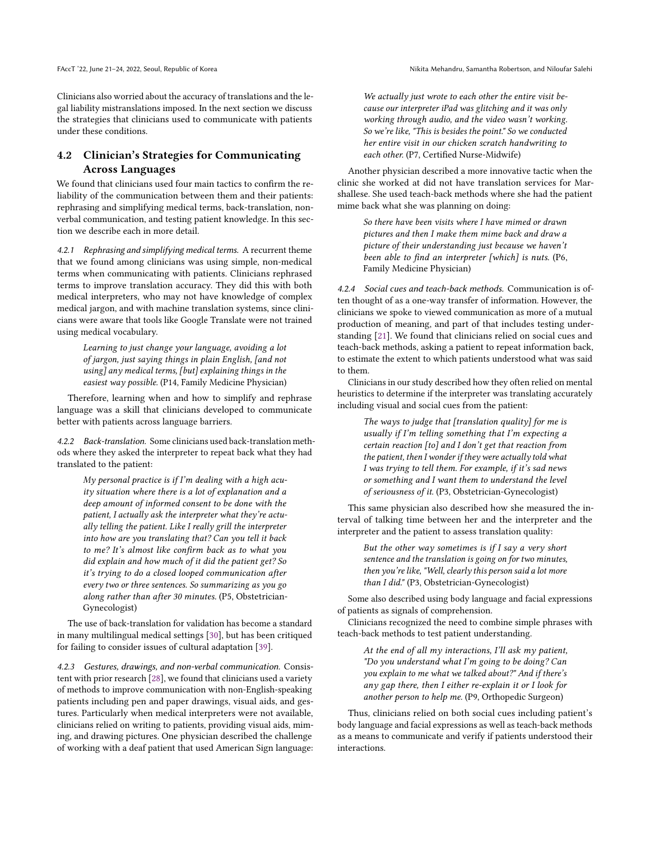Clinicians also worried about the accuracy of translations and the legal liability mistranslations imposed. In the next section we discuss the strategies that clinicians used to communicate with patients under these conditions.

### 4.2 Clinician's Strategies for Communicating Across Languages

We found that clinicians used four main tactics to confirm the reliability of the communication between them and their patients: rephrasing and simplifying medical terms, back-translation, nonverbal communication, and testing patient knowledge. In this section we describe each in more detail.

4.2.1 Rephrasing and simplifying medical terms. A recurrent theme that we found among clinicians was using simple, non-medical terms when communicating with patients. Clinicians rephrased terms to improve translation accuracy. They did this with both medical interpreters, who may not have knowledge of complex medical jargon, and with machine translation systems, since clinicians were aware that tools like Google Translate were not trained using medical vocabulary.

Learning to just change your language, avoiding a lot of jargon, just saying things in plain English, [and not using] any medical terms, [but] explaining things in the easiest way possible. (P14, Family Medicine Physician)

Therefore, learning when and how to simplify and rephrase language was a skill that clinicians developed to communicate better with patients across language barriers.

4.2.2 Back-translation. Some clinicians used back-translation methods where they asked the interpreter to repeat back what they had translated to the patient:

My personal practice is if I'm dealing with a high acuity situation where there is a lot of explanation and a deep amount of informed consent to be done with the patient, I actually ask the interpreter what they're actually telling the patient. Like I really grill the interpreter into how are you translating that? Can you tell it back to me? It's almost like confirm back as to what you did explain and how much of it did the patient get? So it's trying to do a closed looped communication after every two or three sentences. So summarizing as you go along rather than after 30 minutes. (P5, Obstetrician-Gynecologist)

The use of back-translation for validation has become a standard in many multilingual medical settings [\[30\]](#page-9-28), but has been critiqued for failing to consider issues of cultural adaptation [\[39\]](#page-9-29).

4.2.3 Gestures, drawings, and non-verbal communication. Consistent with prior research [\[28\]](#page-9-30), we found that clinicians used a variety of methods to improve communication with non-English-speaking patients including pen and paper drawings, visual aids, and gestures. Particularly when medical interpreters were not available, clinicians relied on writing to patients, providing visual aids, miming, and drawing pictures. One physician described the challenge of working with a deaf patient that used American Sign language:

We actually just wrote to each other the entire visit because our interpreter iPad was glitching and it was only working through audio, and the video wasn't working. So we're like, "This is besides the point." So we conducted her entire visit in our chicken scratch handwriting to each other. (P7, Certified Nurse-Midwife)

Another physician described a more innovative tactic when the clinic she worked at did not have translation services for Marshallese. She used teach-back methods where she had the patient mime back what she was planning on doing:

> So there have been visits where I have mimed or drawn pictures and then I make them mime back and draw a picture of their understanding just because we haven't been able to find an interpreter [which] is nuts. (P6, Family Medicine Physician)

4.2.4 Social cues and teach-back methods. Communication is often thought of as a one-way transfer of information. However, the clinicians we spoke to viewed communication as more of a mutual production of meaning, and part of that includes testing understanding [\[21\]](#page-8-21). We found that clinicians relied on social cues and teach-back methods, asking a patient to repeat information back, to estimate the extent to which patients understood what was said to them.

Clinicians in our study described how they often relied on mental heuristics to determine if the interpreter was translating accurately including visual and social cues from the patient:

> The ways to judge that  $[translation\ quality]$  for me is usually if I'm telling something that I'm expecting a certain reaction [to] and I don't get that reaction from the patient, then I wonder if they were actually told what I was trying to tell them. For example, if it's sad news or something and I want them to understand the level of seriousness of it. (P3, Obstetrician-Gynecologist)

This same physician also described how she measured the interval of talking time between her and the interpreter and the interpreter and the patient to assess translation quality:

> But the other way sometimes is if  $I$  say a very short sentence and the translation is going on for two minutes, then you're like, "Well, clearly this person said a lot more than I did." (P3, Obstetrician-Gynecologist)

Some also described using body language and facial expressions of patients as signals of comprehension.

Clinicians recognized the need to combine simple phrases with teach-back methods to test patient understanding.

> At the end of all my interactions, I'll ask my patient, "Do you understand what I'm going to be doing? Can you explain to me what we talked about?" And if there's any gap there, then I either re-explain it or I look for another person to help me. (P9, Orthopedic Surgeon)

Thus, clinicians relied on both social cues including patient's body language and facial expressions as well as teach-back methods as a means to communicate and verify if patients understood their interactions.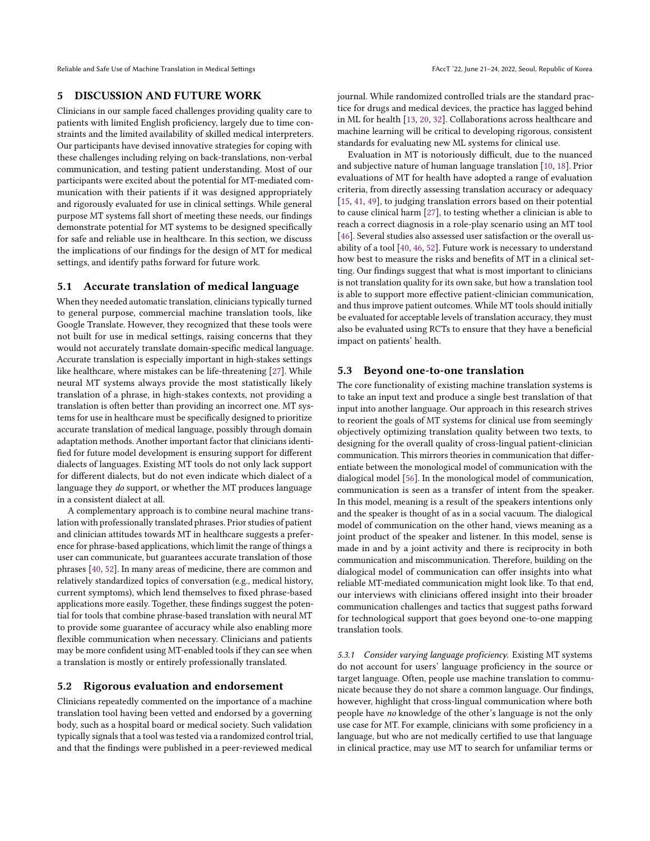Reliable and Safe Use of Machine Translation in Medical Settings FAccT '22, June 21-24, 2022, Seoul, Republic of Korea

### 5 DISCUSSION AND FUTURE WORK

Clinicians in our sample faced challenges providing quality care to patients with limited English proficiency, largely due to time constraints and the limited availability of skilled medical interpreters. Our participants have devised innovative strategies for coping with these challenges including relying on back-translations, non-verbal communication, and testing patient understanding. Most of our participants were excited about the potential for MT-mediated communication with their patients if it was designed appropriately and rigorously evaluated for use in clinical settings. While general purpose MT systems fall short of meeting these needs, our findings demonstrate potential for MT systems to be designed specifically for safe and reliable use in healthcare. In this section, we discuss the implications of our findings for the design of MT for medical settings, and identify paths forward for future work.

### 5.1 Accurate translation of medical language

When they needed automatic translation, clinicians typically turned to general purpose, commercial machine translation tools, like Google Translate. However, they recognized that these tools were not built for use in medical settings, raising concerns that they would not accurately translate domain-specific medical language. Accurate translation is especially important in high-stakes settings like healthcare, where mistakes can be life-threatening [\[27\]](#page-8-5). While neural MT systems always provide the most statistically likely translation of a phrase, in high-stakes contexts, not providing a translation is often better than providing an incorrect one. MT systems for use in healthcare must be specifically designed to prioritize accurate translation of medical language, possibly through domain adaptation methods. Another important factor that clinicians identified for future model development is ensuring support for different dialects of languages. Existing MT tools do not only lack support for different dialects, but do not even indicate which dialect of a language they do support, or whether the MT produces language in a consistent dialect at all.

A complementary approach is to combine neural machine translation with professionally translated phrases. Prior studies of patient and clinician attitudes towards MT in healthcare suggests a preference for phrase-based applications, which limit the range of things a user can communicate, but guarantees accurate translation of those phrases [\[40,](#page-9-23) [52\]](#page-9-25). In many areas of medicine, there are common and relatively standardized topics of conversation (e.g., medical history, current symptoms), which lend themselves to fixed phrase-based applications more easily. Together, these findings suggest the potential for tools that combine phrase-based translation with neural MT to provide some guarantee of accuracy while also enabling more flexible communication when necessary. Clinicians and patients may be more confident using MT-enabled tools if they can see when a translation is mostly or entirely professionally translated.

### 5.2 Rigorous evaluation and endorsement

Clinicians repeatedly commented on the importance of a machine translation tool having been vetted and endorsed by a governing body, such as a hospital board or medical society. Such validation typically signals that a tool was tested via a randomized control trial, and that the findings were published in a peer-reviewed medical

journal. While randomized controlled trials are the standard practice for drugs and medical devices, the practice has lagged behind in ML for health [\[13,](#page-8-11) [20,](#page-8-22) [32\]](#page-9-13). Collaborations across healthcare and machine learning will be critical to developing rigorous, consistent standards for evaluating new ML systems for clinical use.

Evaluation in MT is notoriously difficult, due to the nuanced and subjective nature of human language translation [\[10,](#page-8-23) [18\]](#page-8-24). Prior evaluations of MT for health have adopted a range of evaluation criteria, from directly assessing translation accuracy or adequacy [\[15,](#page-8-25) [41,](#page-9-11) [49\]](#page-9-21), to judging translation errors based on their potential to cause clinical harm [\[27\]](#page-8-5), to testing whether a clinician is able to reach a correct diagnosis in a role-play scenario using an MT tool [\[46\]](#page-9-24). Several studies also assessed user satisfaction or the overall usability of a tool [\[40,](#page-9-23) [46,](#page-9-24) [52\]](#page-9-25). Future work is necessary to understand how best to measure the risks and benefits of MT in a clinical setting. Our findings suggest that what is most important to clinicians is not translation quality for its own sake, but how a translation tool is able to support more effective patient-clinician communication, and thus improve patient outcomes. While MT tools should initially be evaluated for acceptable levels of translation accuracy, they must also be evaluated using RCTs to ensure that they have a beneficial impact on patients' health.

### 5.3 Beyond one-to-one translation

The core functionality of existing machine translation systems is to take an input text and produce a single best translation of that input into another language. Our approach in this research strives to reorient the goals of MT systems for clinical use from seemingly objectively optimizing translation quality between two texts, to designing for the overall quality of cross-lingual patient-clinician communication. This mirrors theories in communication that differentiate between the monological model of communication with the dialogical model [\[56\]](#page-9-31). In the monological model of communication, communication is seen as a transfer of intent from the speaker. In this model, meaning is a result of the speakers intentions only and the speaker is thought of as in a social vacuum. The dialogical model of communication on the other hand, views meaning as a joint product of the speaker and listener. In this model, sense is made in and by a joint activity and there is reciprocity in both communication and miscommunication. Therefore, building on the dialogical model of communication can offer insights into what reliable MT-mediated communication might look like. To that end, our interviews with clinicians offered insight into their broader communication challenges and tactics that suggest paths forward for technological support that goes beyond one-to-one mapping translation tools.

5.3.1 Consider varying language proficiency. Existing MT systems do not account for users' language proficiency in the source or target language. Often, people use machine translation to communicate because they do not share a common language. Our findings, however, highlight that cross-lingual communication where both people have no knowledge of the other's language is not the only use case for MT. For example, clinicians with some proficiency in a language, but who are not medically certified to use that language in clinical practice, may use MT to search for unfamiliar terms or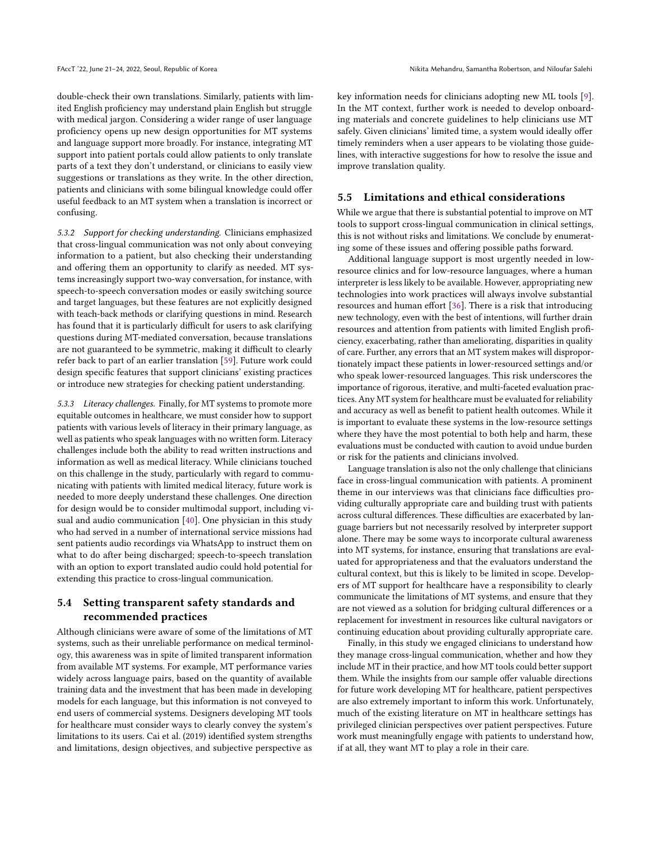double-check their own translations. Similarly, patients with limited English proficiency may understand plain English but struggle with medical jargon. Considering a wider range of user language proficiency opens up new design opportunities for MT systems and language support more broadly. For instance, integrating MT support into patient portals could allow patients to only translate parts of a text they don't understand, or clinicians to easily view suggestions or translations as they write. In the other direction, patients and clinicians with some bilingual knowledge could offer useful feedback to an MT system when a translation is incorrect or confusing.

5.3.2 Support for checking understanding. Clinicians emphasized that cross-lingual communication was not only about conveying information to a patient, but also checking their understanding and offering them an opportunity to clarify as needed. MT systems increasingly support two-way conversation, for instance, with speech-to-speech conversation modes or easily switching source and target languages, but these features are not explicitly designed with teach-back methods or clarifying questions in mind. Research has found that it is particularly difficult for users to ask clarifying questions during MT-mediated conversation, because translations are not guaranteed to be symmetric, making it difficult to clearly refer back to part of an earlier translation [\[59\]](#page-9-32). Future work could design specific features that support clinicians' existing practices or introduce new strategies for checking patient understanding.

5.3.3 Literacy challenges. Finally, for MT systems to promote more equitable outcomes in healthcare, we must consider how to support patients with various levels of literacy in their primary language, as well as patients who speak languages with no written form. Literacy challenges include both the ability to read written instructions and information as well as medical literacy. While clinicians touched on this challenge in the study, particularly with regard to communicating with patients with limited medical literacy, future work is needed to more deeply understand these challenges. One direction for design would be to consider multimodal support, including visual and audio communication [\[40\]](#page-9-23). One physician in this study who had served in a number of international service missions had sent patients audio recordings via WhatsApp to instruct them on what to do after being discharged; speech-to-speech translation with an option to export translated audio could hold potential for extending this practice to cross-lingual communication.

# 5.4 Setting transparent safety standards and recommended practices

Although clinicians were aware of some of the limitations of MT systems, such as their unreliable performance on medical terminology, this awareness was in spite of limited transparent information from available MT systems. For example, MT performance varies widely across language pairs, based on the quantity of available training data and the investment that has been made in developing models for each language, but this information is not conveyed to end users of commercial systems. Designers developing MT tools for healthcare must consider ways to clearly convey the system's limitations to its users. Cai et al. (2019) identified system strengths and limitations, design objectives, and subjective perspective as

key information needs for clinicians adopting new ML tools [\[9\]](#page-8-26). In the MT context, further work is needed to develop onboarding materials and concrete guidelines to help clinicians use MT safely. Given clinicians' limited time, a system would ideally offer timely reminders when a user appears to be violating those guidelines, with interactive suggestions for how to resolve the issue and improve translation quality.

### 5.5 Limitations and ethical considerations

While we argue that there is substantial potential to improve on MT tools to support cross-lingual communication in clinical settings, this is not without risks and limitations. We conclude by enumerating some of these issues and offering possible paths forward.

Additional language support is most urgently needed in lowresource clinics and for low-resource languages, where a human interpreter is less likely to be available. However, appropriating new technologies into work practices will always involve substantial resources and human effort [\[36\]](#page-9-33). There is a risk that introducing new technology, even with the best of intentions, will further drain resources and attention from patients with limited English proficiency, exacerbating, rather than ameliorating, disparities in quality of care. Further, any errors that an MT system makes will disproportionately impact these patients in lower-resourced settings and/or who speak lower-resourced languages. This risk underscores the importance of rigorous, iterative, and multi-faceted evaluation practices. Any MT system for healthcare must be evaluated for reliability and accuracy as well as benefit to patient health outcomes. While it is important to evaluate these systems in the low-resource settings where they have the most potential to both help and harm, these evaluations must be conducted with caution to avoid undue burden or risk for the patients and clinicians involved.

Language translation is also not the only challenge that clinicians face in cross-lingual communication with patients. A prominent theme in our interviews was that clinicians face difficulties providing culturally appropriate care and building trust with patients across cultural differences. These difficulties are exacerbated by language barriers but not necessarily resolved by interpreter support alone. There may be some ways to incorporate cultural awareness into MT systems, for instance, ensuring that translations are evaluated for appropriateness and that the evaluators understand the cultural context, but this is likely to be limited in scope. Developers of MT support for healthcare have a responsibility to clearly communicate the limitations of MT systems, and ensure that they are not viewed as a solution for bridging cultural differences or a replacement for investment in resources like cultural navigators or continuing education about providing culturally appropriate care.

Finally, in this study we engaged clinicians to understand how they manage cross-lingual communication, whether and how they include MT in their practice, and how MT tools could better support them. While the insights from our sample offer valuable directions for future work developing MT for healthcare, patient perspectives are also extremely important to inform this work. Unfortunately, much of the existing literature on MT in healthcare settings has privileged clinician perspectives over patient perspectives. Future work must meaningfully engage with patients to understand how, if at all, they want MT to play a role in their care.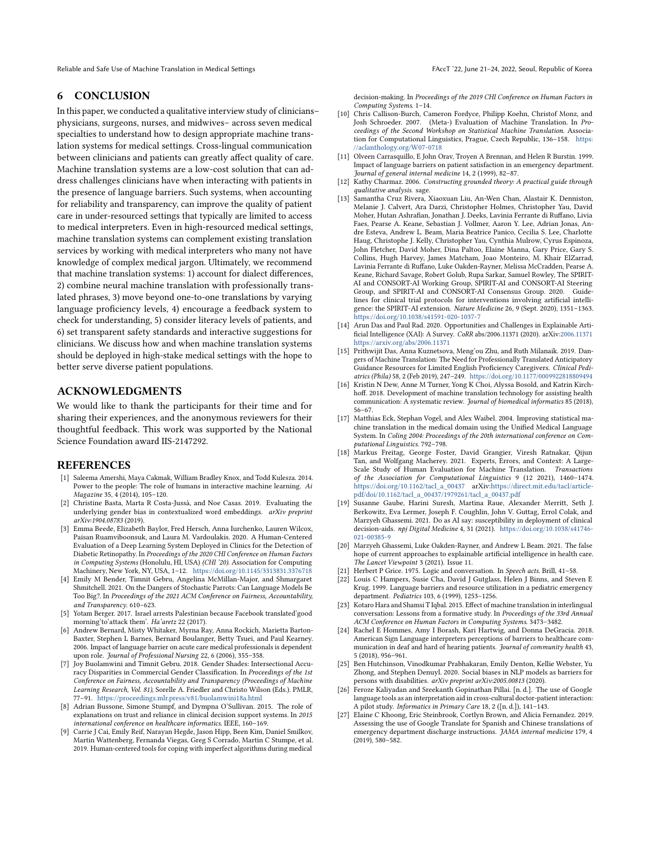Reliable and Safe Use of Machine Translation in Medical Settings FAccT '22, June 21-24, 2022, Seoul, Republic of Korea

### 6 CONCLUSION

In this paper, we conducted a qualitative interview study of clinicians– physicians, surgeons, nurses, and midwives– across seven medical specialties to understand how to design appropriate machine translation systems for medical settings. Cross-lingual communication between clinicians and patients can greatly affect quality of care. Machine translation systems are a low-cost solution that can address challenges clinicians have when interacting with patients in the presence of language barriers. Such systems, when accounting for reliability and transparency, can improve the quality of patient care in under-resourced settings that typically are limited to access to medical interpreters. Even in high-resourced medical settings, machine translation systems can complement existing translation services by working with medical interpreters who many not have knowledge of complex medical jargon. Ultimately, we recommend that machine translation systems: 1) account for dialect differences, 2) combine neural machine translation with professionally translated phrases, 3) move beyond one-to-one translations by varying language proficiency levels, 4) encourage a feedback system to check for understanding, 5) consider literacy levels of patients, and 6) set transparent safety standards and interactive suggestions for clinicians. We discuss how and when machine translation systems should be deployed in high-stake medical settings with the hope to better serve diverse patient populations.

# ACKNOWLEDGMENTS

We would like to thank the participants for their time and for sharing their experiences, and the anonymous reviewers for their thoughtful feedback. This work was supported by the National Science Foundation award IIS-2147292.

### REFERENCES

- <span id="page-8-14"></span>[1] Saleema Amershi, Maya Cakmak, William Bradley Knox, and Todd Kulesza. 2014. Power to the people: The role of humans in interactive machine learning. Ai Magazine 35, 4 (2014), 105–120.
- <span id="page-8-0"></span>[2] Christine Basta, Marta R Costa-Jussà, and Noe Casas. 2019. Evaluating the underlying gender bias in contextualized word embeddings. arXiv preprint arXiv:1904.08783 (2019).
- <span id="page-8-10"></span>[3] Emma Beede, Elizabeth Baylor, Fred Hersch, Anna Iurchenko, Lauren Wilcox, Paisan Ruamviboonsuk, and Laura M. Vardoulakis. 2020. A Human-Centered Evaluation of a Deep Learning System Deployed in Clinics for the Detection of Diabetic Retinopathy. In Proceedings of the 2020 CHI Conference on Human Factors in Computing Systems (Honolulu, HI, USA) (CHI '20). Association for Computing Machinery, New York, NY, USA, 1–12. <https://doi.org/10.1145/3313831.3376718>
- <span id="page-8-1"></span>[4] Emily M Bender, Timnit Gebru, Angelina McMillan-Major, and Shmargaret Shmitchell. 2021. On the Dangers of Stochastic Parrots: Can Language Models Be Too Big?. In Proceedings of the 2021 ACM Conference on Fairness, Accountability, and Transparency. 610–623.
- <span id="page-8-3"></span>[5] Yotam Berger. 2017. Israel arrests Palestinian because Facebook translated'good morning'to'attack them'. Ha'aretz 22 (2017).
- <span id="page-8-7"></span>[6] Andrew Bernard, Misty Whitaker, Myrna Ray, Anna Rockich, Marietta Barton-Baxter, Stephen L Barnes, Bernard Boulanger, Betty Tsuei, and Paul Kearney. 2006. Impact of language barrier on acute care medical professionals is dependent upon role. Journal of Professional Nursing 22, 6 (2006), 355–358.
- <span id="page-8-9"></span>[7] Joy Buolamwini and Timnit Gebru. 2018. Gender Shades: Intersectional Accuracy Disparities in Commercial Gender Classification. In Proceedings of the 1st Conference on Fairness, Accountability and Transparency (Proceedings of Machine Learning Research, Vol. 81), Sorelle A. Friedler and Christo Wilson (Eds.). PMLR, 77–91. <https://proceedings.mlr.press/v81/buolamwini18a.html>
- <span id="page-8-15"></span>[8] Adrian Bussone, Simone Stumpf, and Dympna O'Sullivan. 2015. The role of explanations on trust and reliance in clinical decision support systems. In 2015 international conference on healthcare informatics. IEEE, 160–169.
- <span id="page-8-26"></span>[9] Carrie J Cai, Emily Reif, Narayan Hegde, Jason Hipp, Been Kim, Daniel Smilkov, Martin Wattenberg, Fernanda Viegas, Greg S Corrado, Martin C Stumpe, et al. 2019. Human-centered tools for coping with imperfect algorithms during medical

decision-making. In Proceedings of the 2019 CHI Conference on Human Factors in Computing Systems. 1–14.

- <span id="page-8-23"></span>[10] Chris Callison-Burch, Cameron Fordyce, Philipp Koehn, Christof Monz, and Josh Schroeder. 2007. (Meta-) Evaluation of Machine Translation. In Proceedings of the Second Workshop on Statistical Machine Translation. Association for Computational Linguistics, Prague, Czech Republic, 136–158. [https:](https://aclanthology.org/W07-0718) [//aclanthology.org/W07-0718](https://aclanthology.org/W07-0718)
- <span id="page-8-6"></span>[11] Olveen Carrasquillo, E John Orav, Troyen A Brennan, and Helen R Burstin. 1999. Impact of language barriers on patient satisfaction in an emergency department. Journal of general internal medicine 14, 2 (1999), 82–87.
- <span id="page-8-19"></span>[12] Kathy Charmaz. 2006. Constructing grounded theory: A practical guide through qualitative analysis. sage.
- <span id="page-8-11"></span>[13] Samantha Cruz Rivera, Xiaoxuan Liu, An-Wen Chan, Alastair K. Denniston, Melanie J. Calvert, Ara Darzi, Christopher Holmes, Christopher Yau, David Moher, Hutan Ashrafian, Jonathan J. Deeks, Lavinia Ferrante di Ruffano, Livia Faes, Pearse A. Keane, Sebastian J. Vollmer, Aaron Y. Lee, Adrian Jonas, Andre Esteva, Andrew L. Beam, Maria Beatrice Panico, Cecilia S. Lee, Charlotte Haug, Christophe J. Kelly, Christopher Yau, Cynthia Mulrow, Cyrus Espinoza, John Fletcher, David Moher, Dina Paltoo, Elaine Manna, Gary Price, Gary S. Collins, Hugh Harvey, James Matcham, Joao Monteiro, M. Khair ElZarrad, Lavinia Ferrante di Ruffano, Luke Oakden-Rayner, Melissa McCradden, Pearse A. Keane, Richard Savage, Robert Golub, Rupa Sarkar, Samuel Rowley, The SPIRIT-AI and CONSORT-AI Working Group, SPIRIT-AI and CONSORT-AI Steering Group, and SPIRIT-AI and CONSORT-AI Consensus Group. 2020. Guidelines for clinical trial protocols for interventions involving artificial intelligence: the SPIRIT-AI extension. Nature Medicine 26, 9 (Sept. 2020), 1351–1363. <https://doi.org/10.1038/s41591-020-1037-7>
- <span id="page-8-13"></span>[14] Arun Das and Paul Rad. 2020. Opportunities and Challenges in Explainable Artificial Intelligence (XAI): A Survey. CoRR abs/2006.11371 (2020). arXiv[:2006.11371](https://arxiv.org/abs/2006.11371) <https://arxiv.org/abs/2006.11371>
- <span id="page-8-25"></span>[15] Prithwijit Das, Anna Kuznetsova, Meng'ou Zhu, and Ruth Milanaik. 2019. Dangers of Machine Translation: The Need for Professionally Translated Anticipatory Guidance Resources for Limited English Proficiency Caregivers. Clinical Pediatrics (Phila) 58, 2 (Feb 2019), 247–249. <https://doi.org/10.1177/0009922818809494>
- <span id="page-8-18"></span>[16] Kristin N Dew, Anne M Turner, Yong K Choi, Alyssa Bosold, and Katrin Kirchhoff. 2018. Development of machine translation technology for assisting health communication: A systematic review. Journal of biomedical informatics 85 (2018), 56–67.
- <span id="page-8-17"></span>[17] Matthias Eck, Stephan Vogel, and Alex Waibel. 2004. Improving statistical machine translation in the medical domain using the Unified Medical Language System. In Coling 2004: Proceedings of the 20th international conference on Com-
- <span id="page-8-24"></span>putational Linguistics. 792–798. [18] Markus Freitag, George Foster, David Grangier, Viresh Ratnakar, Qijun Tan, and Wolfgang Macherey. 2021. Experts, Errors, and Context: A Large-Scale Study of Human Evaluation for Machine Translation. Transactions of the Association for Computational Linguistics 9 (12 2021), 1460–1474. [https://doi.org/10.1162/tacl\\_a\\_00437](https://doi.org/10.1162/tacl_a_00437) arXiv[:https://direct.mit.edu/tacl/article](https://arxiv.org/abs/https://direct.mit.edu/tacl/article-pdf/doi/10.1162/tacl_a_00437/1979261/tacl_a_00437.pdf)[pdf/doi/10.1162/tacl\\_a\\_00437/1979261/tacl\\_a\\_00437.pdf](https://arxiv.org/abs/https://direct.mit.edu/tacl/article-pdf/doi/10.1162/tacl_a_00437/1979261/tacl_a_00437.pdf)
- <span id="page-8-12"></span>[19] Susanne Gaube, Harini Suresh, Martina Raue, Alexander Merritt, Seth J. Berkowitz, Eva Lermer, Joseph F. Coughlin, John V. Guttag, Errol Colak, and Marzyeh Ghassemi. 2021. Do as AI say: susceptibility in deployment of clinical decision-aids. npj Digital Medicine 4, 31 (2021). [https://doi.org/10.1038/s41746-](https://doi.org/10.1038/s41746-021-00385-9) [021-00385-9](https://doi.org/10.1038/s41746-021-00385-9)
- <span id="page-8-22"></span>[20] Marzyeh Ghassemi, Luke Oakden-Rayner, and Andrew L Beam. 2021. The false hope of current approaches to explainable artificial intelligence in health care. The Lancet Viewpoint 3 (2021). Issue 11.
- <span id="page-8-21"></span>[21] Herbert P Grice. 1975. Logic and conversation. In Speech acts. Brill, 41–58.
- <span id="page-8-8"></span>[22] Louis C Hampers, Susie Cha, David J Gutglass, Helen J Binns, and Steven E Krug. 1999. Language barriers and resource utilization in a pediatric emergency department. Pediatrics 103, 6 (1999), 1253–1256.
- <span id="page-8-4"></span>[23] Kotaro Hara and Shamsi T Iqbal. 2015. Effect of machine translation in interlingual conversation: Lessons from a formative study. In Proceedings of the 33rd Annual ACM Conference on Human Factors in Computing Systems. 3473–3482.
- <span id="page-8-20"></span>[24] Rachel E Hommes, Amy I Borash, Kari Hartwig, and Donna DeGracia. 2018. American Sign Language interpreters perceptions of barriers to healthcare communication in deaf and hard of hearing patients. Journal of community health 43, 5 (2018), 956–961.
- <span id="page-8-2"></span>[25] Ben Hutchinson, Vinodkumar Prabhakaran, Emily Denton, Kellie Webster, Yu Zhong, and Stephen Denuyl. 2020. Social biases in NLP models as barriers for persons with disabilities. arXiv preprint arXiv:2005.00813 (2020).
- <span id="page-8-16"></span>[26] Feroze Kaliyadan and Sreekanth Gopinathan Pillai. [n. d.]. The use of Google language tools as an interpretation aid in cross-cultural doctor-patient interaction: A pilot study. Informatics in Primary Care 18, 2 ([n. d.]), 141–143.
- <span id="page-8-5"></span>[27] Elaine C Khoong, Eric Steinbrook, Cortlyn Brown, and Alicia Fernandez. 2019. Assessing the use of Google Translate for Spanish and Chinese translations of emergency department discharge instructions. JAMA internal medicine 179, 4 (2019), 580–582.